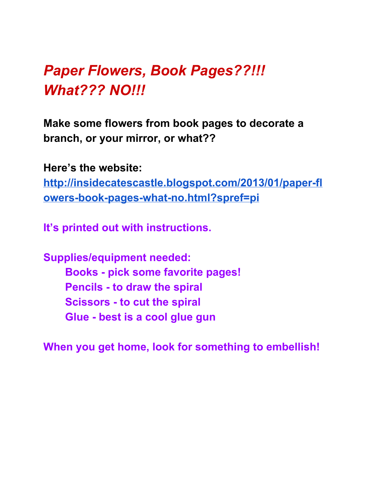#### *Paper Flowers, Book Pages??!!! What??? NO!!!*

**Make some flowers from book pages to decorate a branch, or your mirror, or what??**

**Here's the website:**

http://insidecatescastle.blogspot.com/2013/01/paper-fl **owers-book-pages-what-no.html?spref=pi** 

**It's printed out with instructions.**

**Supplies/equipment needed: Books pick some favorite pages! Pencils to draw the spiral Scissors to cut the spiral Glue best is a cool glue gun**

**When you get home, look for something to embellish!**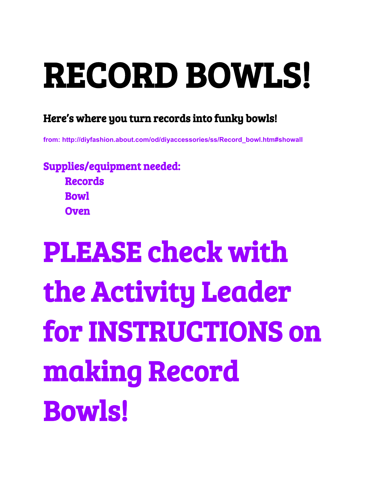## RECORD BOWLS!

#### Here's where you turn records into funky bowls!

**from: http://diyfashion.about.com/od/diyaccessories/ss/Record\_bowl.htm#showall**

Supplies/equipment needed: Records Bowl **Oven** 

## PLEASE check with the Activity Leader for INSTRUCTIONS on making Record Bowls!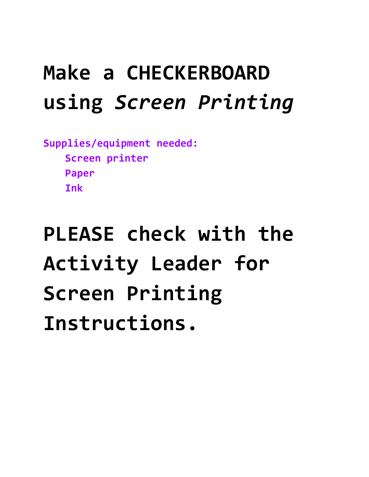### Make a CHECKERBOARD **using***ScreenPrinting*

Supplies/equipment needed: **Screen printer Paper Ink**

### PLEASE check with the Activity Leader for **Screen Printing Instructions.**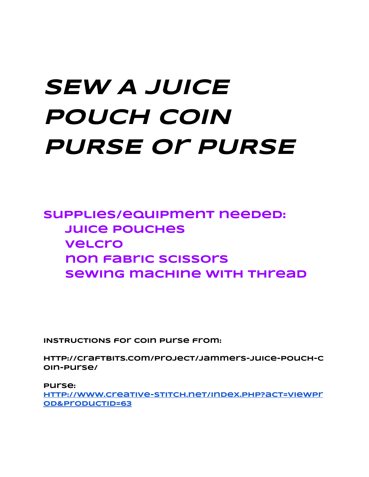### **SEW A JUICE POUCH COIN PURSE or PURSE**

**Supplies/equipment needed: Juice pouches velcro non fabric scissors sewing machine with thread**

**INSTRUCTIONS for Coin Purse from:**

**http://craftbits.com/project/jammers-juice-pouch-c oin-purse/**

**Purse:**

**[http://www.creative-stitch.net/index.php?act=viewPr](http://www.creative-stitch.net/index.php?act=viewProd&productId=63) [od&productId=63](http://www.creative-stitch.net/index.php?act=viewProd&productId=63)**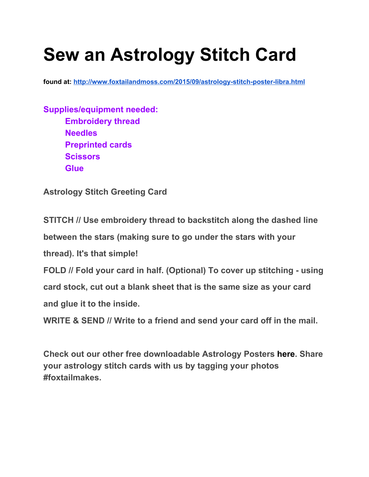### **Sew an Astrology Stitch Card**

**found at: http://www.foxtailandmoss.com/2015/09/astrology-stitch-poster-libra.html** 

**Supplies/equipment needed: Embroidery thread Needles Preprinted cards Scissors Glue**

**Astrology Stitch Greeting Card**

**STITCH // Use embroidery thread to backstitch along the dashed line between the stars (making sure to go under the stars with your thread). It's that simple! FOLD // Fold your card in half. (Optional) To cover up stitching using card stock, cut out a blank sheet that is the same size as your card and glue it to the inside.**

**WRITE & SEND // Write to a friend and send your card off in the mail.**

**Check out our other free downloadable Astrology Posters h[ere](http://www.foxtailandmoss.com/search/label/Astrology%20Stitch%20Poster). Share your astrology stitch cards with us by tagging your photos #foxtailmakes.**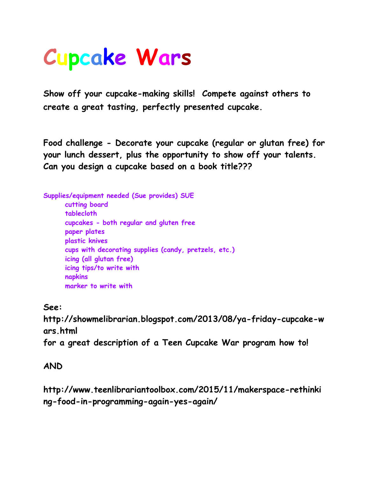### **CupcakeWars**

**Show off your cupcake-making skills! Compete against others to create a great tasting, perfectly presented cupcake.**

**Food challenge - Decorate your cupcake (regular or glutan free) for your lunch dessert, plus the opportunity to show off your talents. Can you design a cupcake based on a book title???**

**Supplies/equipment needed (Sue provides) SUE cutting board tablecloth cupcakes - both regular and gluten free paper plates plastic knives cups with decorating supplies (candy, pretzels, etc.) icing (all glutan free) icing tips/to write with napkins marker to write with**

#### **See:**

**http://showmelibrarian.blogspot.com/2013/08/ya-friday-cupcake-w ars.html for a great description of a Teen Cupcake War program how to!**

#### **AND**

**http://www.teenlibrariantoolbox.com/2015/11/makerspace-rethinki ng-food-in-programming-again-yes-again/**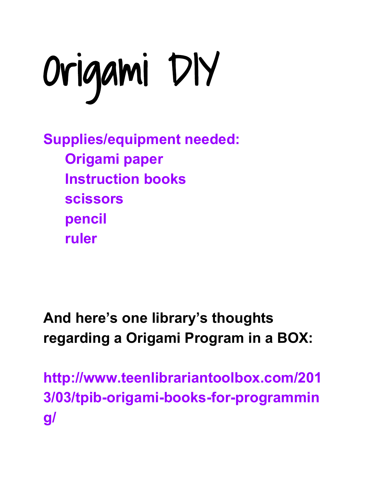Origami DIY

**Supplies/equipment needed: Origami paper Instruction books scissors pencil ruler**

**And here's one library's thoughts regarding a Origami Program in a BOX:**

**http://www.teenlibrariantoolbox.com/201 3/03/tpib-origami-books-for-programmin g/**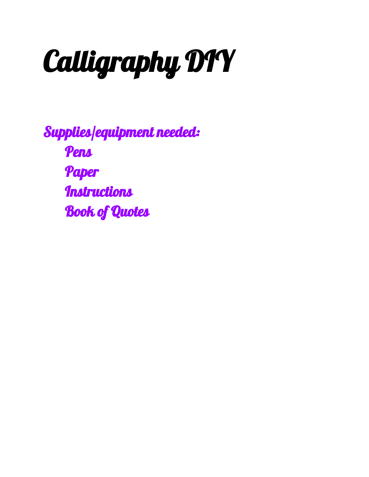## Calligraphy DIY

Supplies/equipment needed: Pens Paper **Instructions** Book of Quotes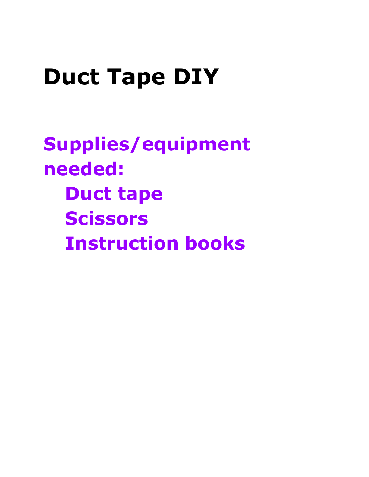### **Duct Tape DIY**

**Supplies/equipment needed: Duct tape Scissors Instruction books**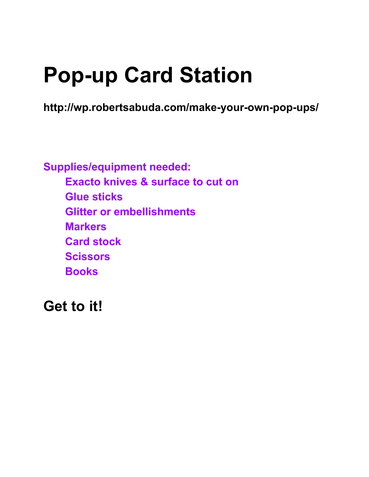### **Pop-up Card Station**

http://wp.robertsabuda.com/make-your-own-pop-ups/

**Supplies/equipment needed: Exacto knives & surface to cut on Glue sticks Glitter or embellishments Markers Card stock Scissors Books**

**Get to it!**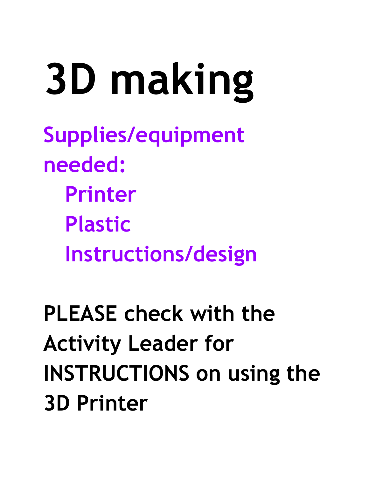**3D making Supplies/equipment needed: Printer Plastic Instructions/design**

**PLEASE check with the Activity Leader for INSTRUCTIONS on using the 3D Printer**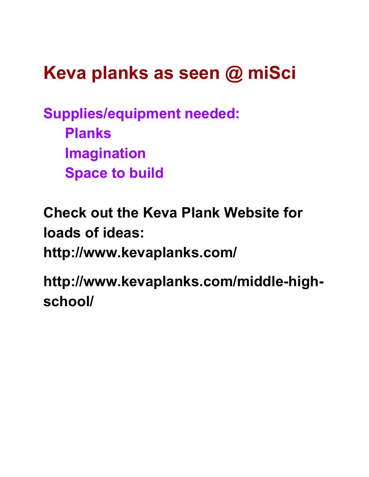### **Keva planks as seen @ miSci**

**Supplies/equipment needed: Planks Imagination Space to build**

**Check out the Keva Plank Website for loads of ideas: http://www.kevaplanks.com/**

http://www.kevaplanks.com/middle-high**school/**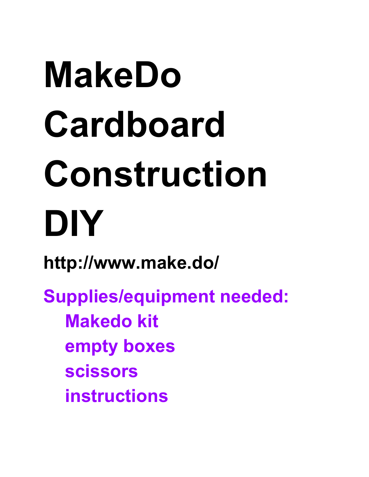# **MakeDo Cardboard Construction DIY**

**http://www.make.do/**

**Supplies/equipment needed: Makedo kit empty boxes scissors instructions**